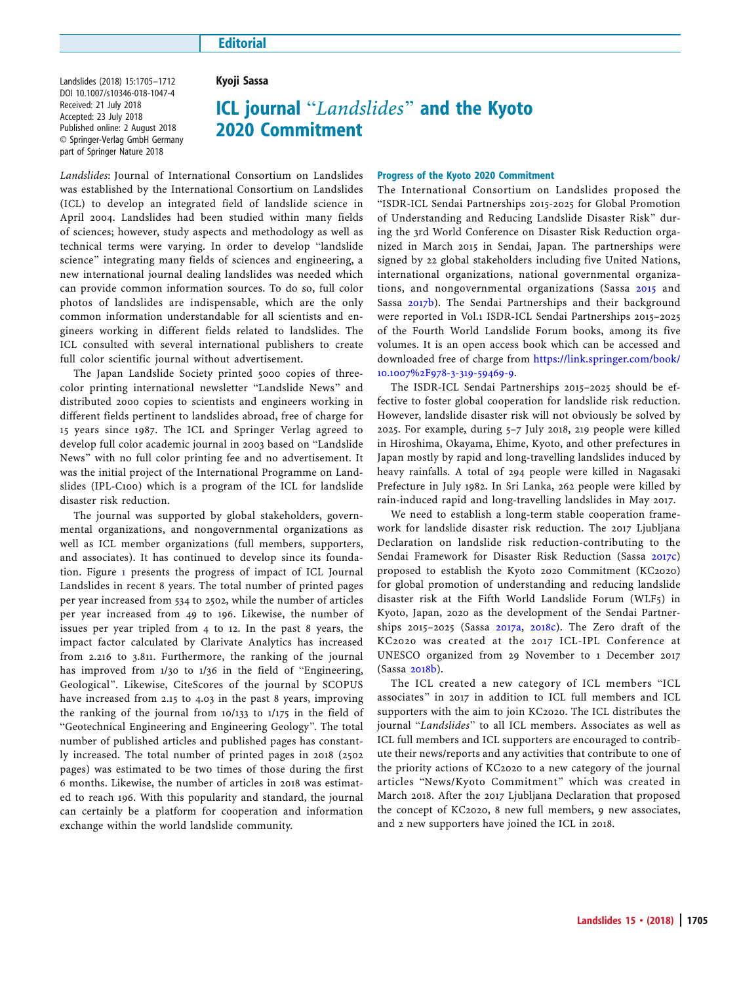## **Editorial**

Landslides (2018) 15:1705–1712 DOI 10.1007/s10346-018-1047-4 Received: 21 July 2018 Accepted: 23 July 2018 Published online: 2 August 2018 © Springer-Verlag GmbH Germany part of Springer Nature 2018

## Kyoji Sassa

# ICL journal "Landslides" and the Kyoto 2020 Commitment

Landslides: Journal of International Consortium on Landslides was established by the International Consortium on Landslides (ICL) to develop an integrated field of landslide science in April 2004. Landslides had been studied within many fields of sciences; however, study aspects and methodology as well as technical terms were varying. In order to develop "landslide science" integrating many fields of sciences and engineering, a new international journal dealing landslides was needed which can provide common information sources. To do so, full color photos of landslides are indispensable, which are the only common information understandable for all scientists and engineers working in different fields related to landslides. The ICL consulted with several international publishers to create full color scientific journal without advertisement.

The Japan Landslide Society printed 5000 copies of threecolor printing international newsletter "Landslide News" and distributed 2000 copies to scientists and engineers working in different fields pertinent to landslides abroad, free of charge for 15 years since 1987. The ICL and Springer Verlag agreed to develop full color academic journal in 2003 based on "Landslide News" with no full color printing fee and no advertisement. It was the initial project of the International Programme on Landslides (IPL-C100) which is a program of the ICL for landslide disaster risk reduction.

The journal was supported by global stakeholders, governmental organizations, and nongovernmental organizations as well as ICL member organizations (full members, supporters, and associates). It has continued to develop since its foundation. Figure [1](#page-1-0) presents the progress of impact of ICL Journal Landslides in recent 8 years. The total number of printed pages per year increased from 534 to 2502, while the number of articles per year increased from 49 to 196. Likewise, the number of issues per year tripled from 4 to 12. In the past 8 years, the impact factor calculated by Clarivate Analytics has increased from 2.216 to 3.811. Furthermore, the ranking of the journal has improved from  $1/30$  to  $1/36$  in the field of "Engineering, Geological^. Likewise, CiteScores of the journal by SCOPUS have increased from 2.15 to 4.03 in the past 8 years, improving the ranking of the journal from 10/133 to 1/175 in the field of "Geotechnical Engineering and Engineering Geology". The total number of published articles and published pages has constantly increased. The total number of printed pages in 2018 (2502 pages) was estimated to be two times of those during the first 6 months. Likewise, the number of articles in 2018 was estimated to reach 196. With this popularity and standard, the journal can certainly be a platform for cooperation and information exchange within the world landslide community.

### Progress of the Kyoto 2020 Commitment

The International Consortium on Landslides proposed the "ISDR-ICL Sendai Partnerships 2015-2025 for Global Promotion of Understanding and Reducing Landslide Disaster Risk^ during the 3rd World Conference on Disaster Risk Reduction organized in March 2015 in Sendai, Japan. The partnerships were signed by 22 global stakeholders including five United Nations, international organizations, national governmental organizations, and nongovernmental organizations (Sassa [2015](#page-7-0) and Sassa [2017b](#page-7-0)). The Sendai Partnerships and their background were reported in Vol.1 ISDR-ICL Sendai Partnerships 2015–2025 of the Fourth World Landslide Forum books, among its five volumes. It is an open access book which can be accessed and downloaded free of charge from [https://link.springer.com/book/](https://link.springer.com/book/10.1007/978-3-319-59469-9) [10.1007%2F978-3-319-59469-9](https://link.springer.com/book/10.1007/978-3-319-59469-9).

The ISDR-ICL Sendai Partnerships 2015–2025 should be effective to foster global cooperation for landslide risk reduction. However, landslide disaster risk will not obviously be solved by 2025. For example, during 5–7 July 2018, 219 people were killed in Hiroshima, Okayama, Ehime, Kyoto, and other prefectures in Japan mostly by rapid and long-travelling landslides induced by heavy rainfalls. A total of 294 people were killed in Nagasaki Prefecture in July 1982. In Sri Lanka, 262 people were killed by rain-induced rapid and long-travelling landslides in May 2017.

We need to establish a long-term stable cooperation framework for landslide disaster risk reduction. The 2017 Ljubljana Declaration on landslide risk reduction-contributing to the Sendai Framework for Disaster Risk Reduction (Sassa [2017c\)](#page-7-0) proposed to establish the Kyoto 2020 Commitment (KC2020) for global promotion of understanding and reducing landslide disaster risk at the Fifth World Landslide Forum (WLF5) in Kyoto, Japan, 2020 as the development of the Sendai Partnerships 2015–2025 (Sassa [2017a](#page-7-0), [2018c\)](#page-7-0). The Zero draft of the KC2020 was created at the 2017 ICL-IPL Conference at UNESCO organized from 29 November to 1 December 2017 (Sassa [2018b](#page-7-0)).

The ICL created a new category of ICL members "ICL associates" in 2017 in addition to ICL full members and ICL supporters with the aim to join KC2020. The ICL distributes the journal "Landslides" to all ICL members. Associates as well as ICL full members and ICL supporters are encouraged to contribute their news/reports and any activities that contribute to one of the priority actions of KC2020 to a new category of the journal articles "News/Kyoto Commitment" which was created in March 2018. After the 2017 Ljubljana Declaration that proposed the concept of KC2020, 8 new full members, 9 new associates, and 2 new supporters have joined the ICL in 2018.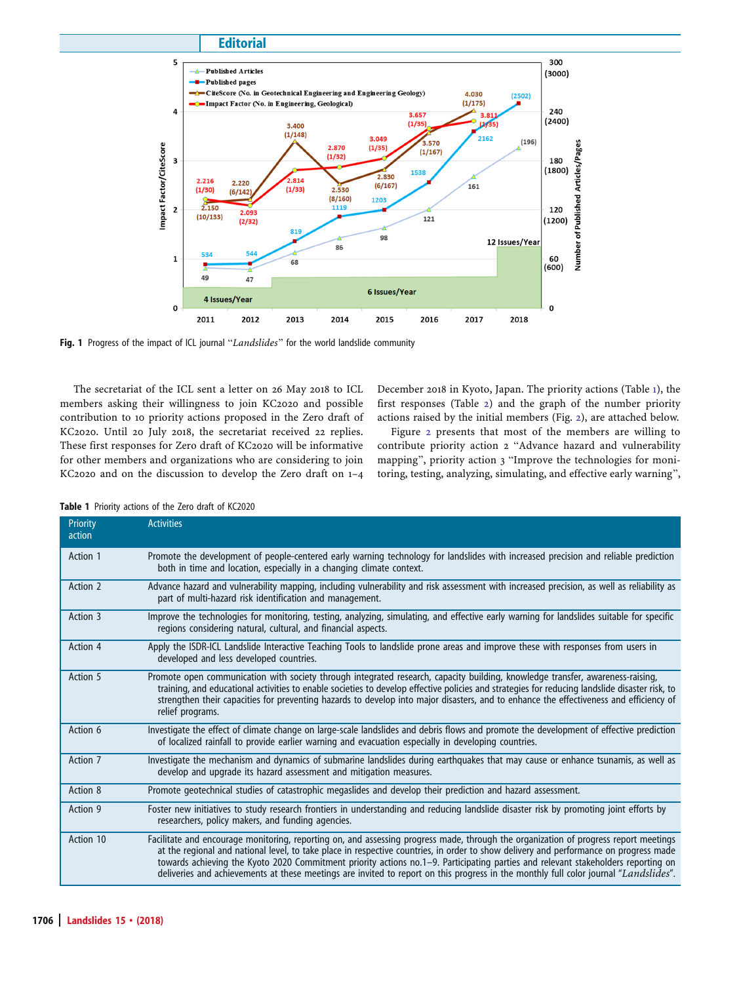<span id="page-1-0"></span>

Fig. 1 Progress of the impact of ICL journal "Landslides" for the world landslide community

The secretariat of the ICL sent a letter on 26 May 2018 to ICL members asking their willingness to join KC2020 and possible contribution to 10 priority actions proposed in the Zero draft of KC2020. Until 20 July 2018, the secretariat received 22 replies. These first responses for Zero draft of KC2020 will be informative for other members and organizations who are considering to join KC2020 and on the discussion to develop the Zero draft on 1–4

December 2018 in Kyoto, Japan. The priority actions (Table 1), the first responses (Table [2](#page-2-0)) and the graph of the number priority actions raised by the initial members (Fig. [2\)](#page-7-0), are attached below.

Figure [2](#page-7-0) presents that most of the members are willing to contribute priority action 2 "Advance hazard and vulnerability mapping", priority action 3 "Improve the technologies for monitoring, testing, analyzing, simulating, and effective early warning^,

| <b>Priority</b><br>action | <b>Activities</b>                                                                                                                                                                                                                                                                                                                                                                                                                                                                                                                                          |
|---------------------------|------------------------------------------------------------------------------------------------------------------------------------------------------------------------------------------------------------------------------------------------------------------------------------------------------------------------------------------------------------------------------------------------------------------------------------------------------------------------------------------------------------------------------------------------------------|
| Action 1                  | Promote the development of people-centered early warning technology for landslides with increased precision and reliable prediction<br>both in time and location, especially in a changing climate context.                                                                                                                                                                                                                                                                                                                                                |
| Action 2                  | Advance hazard and vulnerability mapping, including vulnerability and risk assessment with increased precision, as well as reliability as<br>part of multi-hazard risk identification and management.                                                                                                                                                                                                                                                                                                                                                      |
| Action 3                  | Improve the technologies for monitoring, testing, analyzing, simulating, and effective early warning for landslides suitable for specific<br>regions considering natural, cultural, and financial aspects.                                                                                                                                                                                                                                                                                                                                                 |
| Action 4                  | Apply the ISDR-ICL Landslide Interactive Teaching Tools to landslide prone areas and improve these with responses from users in<br>developed and less developed countries.                                                                                                                                                                                                                                                                                                                                                                                 |
| Action 5                  | Promote open communication with society through integrated research, capacity building, knowledge transfer, awareness-raising,<br>training, and educational activities to enable societies to develop effective policies and strategies for reducing landslide disaster risk, to<br>strengthen their capacities for preventing hazards to develop into major disasters, and to enhance the effectiveness and efficiency of<br>relief programs.                                                                                                             |
| Action 6                  | Investigate the effect of climate change on large-scale landslides and debris flows and promote the development of effective prediction<br>of localized rainfall to provide earlier warning and evacuation especially in developing countries.                                                                                                                                                                                                                                                                                                             |
| Action 7                  | Investigate the mechanism and dynamics of submarine landslides during earthquakes that may cause or enhance tsunamis, as well as<br>develop and upgrade its hazard assessment and mitigation measures.                                                                                                                                                                                                                                                                                                                                                     |
| Action 8                  | Promote geotechnical studies of catastrophic megaslides and develop their prediction and hazard assessment.                                                                                                                                                                                                                                                                                                                                                                                                                                                |
| Action 9                  | Foster new initiatives to study research frontiers in understanding and reducing landslide disaster risk by promoting joint efforts by<br>researchers, policy makers, and funding agencies.                                                                                                                                                                                                                                                                                                                                                                |
| Action 10                 | Facilitate and encourage monitoring, reporting on, and assessing progress made, through the organization of progress report meetings<br>at the regional and national level, to take place in respective countries, in order to show delivery and performance on progress made<br>towards achieving the Kyoto 2020 Commitment priority actions no.1-9. Participating parties and relevant stakeholders reporting on<br>deliveries and achievements at these meetings are invited to report on this progress in the monthly full color journal "Landslides". |

Table 1 Priority actions of the Zero draft of KC2020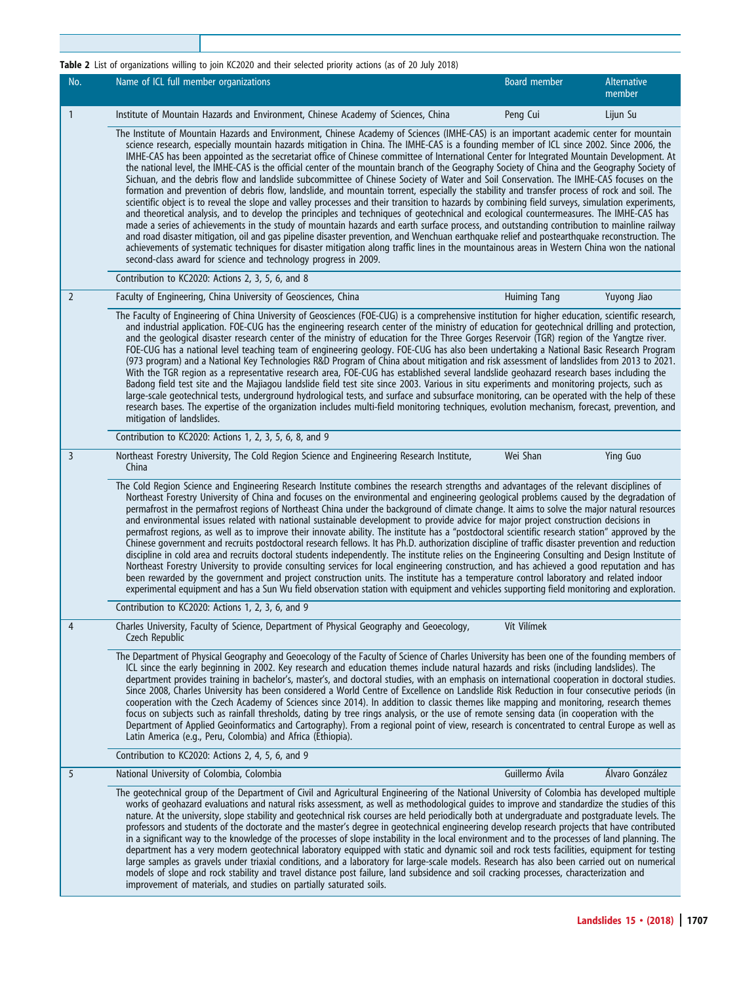## <span id="page-2-0"></span>Table 2 List of organizations willing to join KC2020 and their selected priority actions (as of 20 July 2018)

| No.            | Name of ICL full member organizations                                                                                                                                                                                                                                                                                                                                                                                                                                                                                                                                                                                                                                                                                                                                                                                                                                                                                                                                                                                                                                                                                                                                                                                                                                                                                                                                                                                                                                                                                                                                                                                                                                                                                                              | <b>Board member</b> | <b>Alternative</b><br>member |
|----------------|----------------------------------------------------------------------------------------------------------------------------------------------------------------------------------------------------------------------------------------------------------------------------------------------------------------------------------------------------------------------------------------------------------------------------------------------------------------------------------------------------------------------------------------------------------------------------------------------------------------------------------------------------------------------------------------------------------------------------------------------------------------------------------------------------------------------------------------------------------------------------------------------------------------------------------------------------------------------------------------------------------------------------------------------------------------------------------------------------------------------------------------------------------------------------------------------------------------------------------------------------------------------------------------------------------------------------------------------------------------------------------------------------------------------------------------------------------------------------------------------------------------------------------------------------------------------------------------------------------------------------------------------------------------------------------------------------------------------------------------------------|---------------------|------------------------------|
| 1              | Institute of Mountain Hazards and Environment, Chinese Academy of Sciences, China                                                                                                                                                                                                                                                                                                                                                                                                                                                                                                                                                                                                                                                                                                                                                                                                                                                                                                                                                                                                                                                                                                                                                                                                                                                                                                                                                                                                                                                                                                                                                                                                                                                                  | Peng Cui            | Lijun Su                     |
|                | The Institute of Mountain Hazards and Environment, Chinese Academy of Sciences (IMHE-CAS) is an important academic center for mountain<br>science research, especially mountain hazards mitigation in China. The IMHE-CAS is a founding member of ICL since 2002. Since 2006, the<br>IMHE-CAS has been appointed as the secretariat office of Chinese committee of International Center for Integrated Mountain Development. At<br>the national level, the IMHE-CAS is the official center of the mountain branch of the Geography Society of China and the Geography Society of<br>Sichuan, and the debris flow and landslide subcommittee of Chinese Society of Water and Soil Conservation. The IMHE-CAS focuses on the<br>formation and prevention of debris flow, landslide, and mountain torrent, especially the stability and transfer process of rock and soil. The<br>scientific object is to reveal the slope and valley processes and their transition to hazards by combining field surveys, simulation experiments,<br>and theoretical analysis, and to develop the principles and techniques of geotechnical and ecological countermeasures. The IMHE-CAS has<br>made a series of achievements in the study of mountain hazards and earth surface process, and outstanding contribution to mainline railway<br>and road disaster mitigation, oil and gas pipeline disaster prevention, and Wenchuan earthquake relief and postearthquake reconstruction. The<br>achievements of systematic techniques for disaster mitigation along traffic lines in the mountainous areas in Western China won the national<br>second-class award for science and technology progress in 2009.<br>Contribution to KC2020: Actions 2, 3, 5, 6, and 8 |                     |                              |
| $\overline{2}$ | Faculty of Engineering, China University of Geosciences, China                                                                                                                                                                                                                                                                                                                                                                                                                                                                                                                                                                                                                                                                                                                                                                                                                                                                                                                                                                                                                                                                                                                                                                                                                                                                                                                                                                                                                                                                                                                                                                                                                                                                                     | <b>Huiming Tang</b> | Yuyong Jiao                  |
|                | The Faculty of Engineering of China University of Geosciences (FOE-CUG) is a comprehensive institution for higher education, scientific research,<br>and industrial application. FOE-CUG has the engineering research center of the ministry of education for geotechnical drilling and protection,<br>and the geological disaster research center of the ministry of education for the Three Gorges Reservoir (TGR) region of the Yangtze river.<br>FOE-CUG has a national level teaching team of engineering geology. FOE-CUG has also been undertaking a National Basic Research Program<br>(973 program) and a National Key Technologies R&D Program of China about mitigation and risk assessment of landslides from 2013 to 2021.<br>With the TGR region as a representative research area, FOE-CUG has established several landslide geohazard research bases including the<br>Badong field test site and the Majiagou landslide field test site since 2003. Various in situ experiments and monitoring projects, such as<br>large-scale geotechnical tests, underground hydrological tests, and surface and subsurface monitoring, can be operated with the help of these<br>research bases. The expertise of the organization includes multi-field monitoring techniques, evolution mechanism, forecast, prevention, and<br>mitigation of landslides.                                                                                                                                                                                                                                                                                                                                                                                     |                     |                              |
|                | Contribution to KC2020: Actions 1, 2, 3, 5, 6, 8, and 9                                                                                                                                                                                                                                                                                                                                                                                                                                                                                                                                                                                                                                                                                                                                                                                                                                                                                                                                                                                                                                                                                                                                                                                                                                                                                                                                                                                                                                                                                                                                                                                                                                                                                            |                     |                              |
| 3              | Northeast Forestry University, The Cold Region Science and Engineering Research Institute,<br>China                                                                                                                                                                                                                                                                                                                                                                                                                                                                                                                                                                                                                                                                                                                                                                                                                                                                                                                                                                                                                                                                                                                                                                                                                                                                                                                                                                                                                                                                                                                                                                                                                                                | Wei Shan            | Ying Guo                     |
|                | The Cold Region Science and Engineering Research Institute combines the research strengths and advantages of the relevant disciplines of<br>Northeast Forestry University of China and focuses on the environmental and engineering geological problems caused by the degradation of<br>permafrost in the permafrost regions of Northeast China under the background of climate change. It aims to solve the major natural resources<br>and environmental issues related with national sustainable development to provide advice for major project construction decisions in<br>permafrost regions, as well as to improve their innovate ability. The institute has a "postdoctoral scientific research station" approved by the<br>Chinese government and recruits postdoctoral research fellows. It has Ph.D. authorization discipline of traffic disaster prevention and reduction<br>discipline in cold area and recruits doctoral students independently. The institute relies on the Engineering Consulting and Design Institute of<br>Northeast Forestry University to provide consulting services for local engineering construction, and has achieved a good reputation and has<br>been rewarded by the government and project construction units. The institute has a temperature control laboratory and related indoor<br>experimental equipment and has a Sun Wu field observation station with equipment and vehicles supporting field monitoring and exploration.                                                                                                                                                                                                                                                                    |                     |                              |
|                | Contribution to KC2020: Actions 1, 2, 3, 6, and 9                                                                                                                                                                                                                                                                                                                                                                                                                                                                                                                                                                                                                                                                                                                                                                                                                                                                                                                                                                                                                                                                                                                                                                                                                                                                                                                                                                                                                                                                                                                                                                                                                                                                                                  |                     |                              |
| 4              | Charles University, Faculty of Science, Department of Physical Geography and Geoecology,<br>Czech Republic                                                                                                                                                                                                                                                                                                                                                                                                                                                                                                                                                                                                                                                                                                                                                                                                                                                                                                                                                                                                                                                                                                                                                                                                                                                                                                                                                                                                                                                                                                                                                                                                                                         | Vít Vilímek         |                              |
|                | The Department of Physical Geography and Geoecology of the Faculty of Science of Charles University has been one of the founding members of<br>ICL since the early beginning in 2002. Key research and education themes include natural hazards and risks (including landslides). The<br>department provides training in bachelor's, master's, and doctoral studies, with an emphasis on international cooperation in doctoral studies.<br>Since 2008, Charles University has been considered a World Centre of Excellence on Landslide Risk Reduction in four consecutive periods (in<br>cooperation with the Czech Academy of Sciences since 2014). In addition to classic themes like mapping and monitoring, research themes<br>focus on subjects such as rainfall thresholds, dating by tree rings analysis, or the use of remote sensing data (in cooperation with the<br>Department of Applied Geoinformatics and Cartography). From a regional point of view, research is concentrated to central Europe as well as<br>Latin America (e.g., Peru, Colombia) and Africa (Ethiopia).                                                                                                                                                                                                                                                                                                                                                                                                                                                                                                                                                                                                                                                         |                     |                              |
|                | Contribution to KC2020: Actions 2, 4, 5, 6, and 9                                                                                                                                                                                                                                                                                                                                                                                                                                                                                                                                                                                                                                                                                                                                                                                                                                                                                                                                                                                                                                                                                                                                                                                                                                                                                                                                                                                                                                                                                                                                                                                                                                                                                                  |                     |                              |
| 5              | National University of Colombia, Colombia                                                                                                                                                                                                                                                                                                                                                                                                                                                                                                                                                                                                                                                                                                                                                                                                                                                                                                                                                                                                                                                                                                                                                                                                                                                                                                                                                                                                                                                                                                                                                                                                                                                                                                          | Guillermo Ávila     | Álvaro González              |
|                | The geotechnical group of the Department of Civil and Agricultural Engineering of the National University of Colombia has developed multiple<br>works of geohazard evaluations and natural risks assessment, as well as methodological guides to improve and standardize the studies of this<br>nature. At the university, slope stability and geotechnical risk courses are held periodically both at undergraduate and postgraduate levels. The<br>professors and students of the doctorate and the master's degree in geotechnical engineering develop research projects that have contributed<br>in a significant way to the knowledge of the processes of slope instability in the local environment and to the processes of land planning. The<br>department has a very modern geotechnical laboratory equipped with static and dynamic soil and rock tests facilities, equipment for testing<br>large samples as gravels under triaxial conditions, and a laboratory for large-scale models. Research has also been carried out on numerical<br>models of slope and rock stability and travel distance post failure, land subsidence and soil cracking processes, characterization and<br>improvement of materials, and studies on partially saturated soils.                                                                                                                                                                                                                                                                                                                                                                                                                                                                               |                     |                              |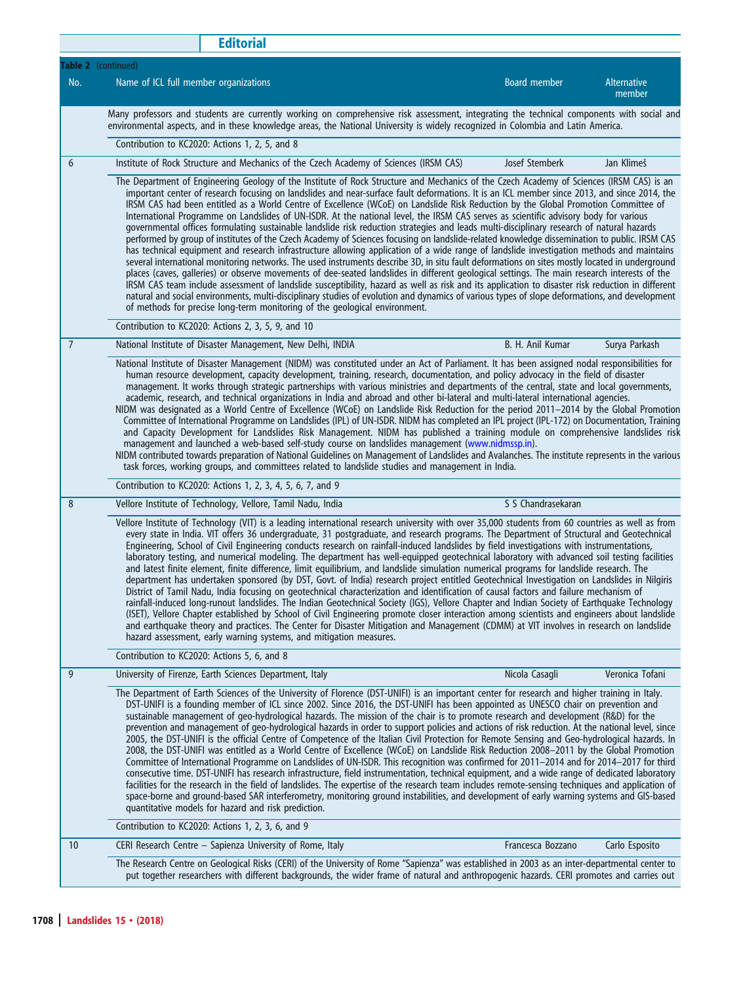|                 | <b>Editorial</b>                                                                                                                                                                                                                                                                                                                                                                                                                                                                                                                                                                                                                                                                                                                                                                                                                                                                                                                                                                                                                                                                                                                                                                                                                                                                                                                                                                                                                                                                                                                                                                                                                                                                                     |                     |                              |  |
|-----------------|------------------------------------------------------------------------------------------------------------------------------------------------------------------------------------------------------------------------------------------------------------------------------------------------------------------------------------------------------------------------------------------------------------------------------------------------------------------------------------------------------------------------------------------------------------------------------------------------------------------------------------------------------------------------------------------------------------------------------------------------------------------------------------------------------------------------------------------------------------------------------------------------------------------------------------------------------------------------------------------------------------------------------------------------------------------------------------------------------------------------------------------------------------------------------------------------------------------------------------------------------------------------------------------------------------------------------------------------------------------------------------------------------------------------------------------------------------------------------------------------------------------------------------------------------------------------------------------------------------------------------------------------------------------------------------------------------|---------------------|------------------------------|--|
|                 | Table 2 (continued)                                                                                                                                                                                                                                                                                                                                                                                                                                                                                                                                                                                                                                                                                                                                                                                                                                                                                                                                                                                                                                                                                                                                                                                                                                                                                                                                                                                                                                                                                                                                                                                                                                                                                  |                     |                              |  |
| No.             | Name of ICL full member organizations                                                                                                                                                                                                                                                                                                                                                                                                                                                                                                                                                                                                                                                                                                                                                                                                                                                                                                                                                                                                                                                                                                                                                                                                                                                                                                                                                                                                                                                                                                                                                                                                                                                                | <b>Board member</b> | <b>Alternative</b><br>member |  |
|                 | Many professors and students are currently working on comprehensive risk assessment, integrating the technical components with social and<br>environmental aspects, and in these knowledge areas, the National University is widely recognized in Colombia and Latin America.                                                                                                                                                                                                                                                                                                                                                                                                                                                                                                                                                                                                                                                                                                                                                                                                                                                                                                                                                                                                                                                                                                                                                                                                                                                                                                                                                                                                                        |                     |                              |  |
|                 | Contribution to KC2020: Actions 1, 2, 5, and 8                                                                                                                                                                                                                                                                                                                                                                                                                                                                                                                                                                                                                                                                                                                                                                                                                                                                                                                                                                                                                                                                                                                                                                                                                                                                                                                                                                                                                                                                                                                                                                                                                                                       |                     |                              |  |
| 6               | Institute of Rock Structure and Mechanics of the Czech Academy of Sciences (IRSM CAS)                                                                                                                                                                                                                                                                                                                                                                                                                                                                                                                                                                                                                                                                                                                                                                                                                                                                                                                                                                                                                                                                                                                                                                                                                                                                                                                                                                                                                                                                                                                                                                                                                | Josef Stemberk      | Jan Klimeš                   |  |
|                 | The Department of Engineering Geology of the Institute of Rock Structure and Mechanics of the Czech Academy of Sciences (IRSM CAS) is an<br>important center of research focusing on landslides and near-surface fault deformations. It is an ICL member since 2013, and since 2014, the<br>IRSM CAS had been entitled as a World Centre of Excellence (WCoE) on Landslide Risk Reduction by the Global Promotion Committee of<br>International Programme on Landslides of UN-ISDR. At the national level, the IRSM CAS serves as scientific advisory body for various<br>governmental offices formulating sustainable landslide risk reduction strategies and leads multi-disciplinary research of natural hazards<br>performed by group of institutes of the Czech Academy of Sciences focusing on landslide-related knowledge dissemination to public. IRSM CAS<br>has technical equipment and research infrastructure allowing application of a wide range of landslide investigation methods and maintains<br>several international monitoring networks. The used instruments describe 3D, in situ fault deformations on sites mostly located in underground<br>places (caves, galleries) or observe movements of dee-seated landslides in different geological settings. The main research interests of the<br>IRSM CAS team include assessment of landslide susceptibility, hazard as well as risk and its application to disaster risk reduction in different<br>natural and social environments, multi-disciplinary studies of evolution and dynamics of various types of slope deformations, and development<br>of methods for precise long-term monitoring of the geological environment. |                     |                              |  |
|                 | Contribution to KC2020: Actions 2, 3, 5, 9, and 10                                                                                                                                                                                                                                                                                                                                                                                                                                                                                                                                                                                                                                                                                                                                                                                                                                                                                                                                                                                                                                                                                                                                                                                                                                                                                                                                                                                                                                                                                                                                                                                                                                                   |                     |                              |  |
| $\overline{7}$  | National Institute of Disaster Management, New Delhi, INDIA                                                                                                                                                                                                                                                                                                                                                                                                                                                                                                                                                                                                                                                                                                                                                                                                                                                                                                                                                                                                                                                                                                                                                                                                                                                                                                                                                                                                                                                                                                                                                                                                                                          | B. H. Anil Kumar    | Surya Parkash                |  |
|                 | National Institute of Disaster Management (NIDM) was constituted under an Act of Parliament. It has been assigned nodal responsibilities for<br>human resource development, capacity development, training, research, documentation, and policy advocacy in the field of disaster<br>management. It works through strategic partnerships with various ministries and departments of the central, state and local governments,<br>academic, research, and technical organizations in India and abroad and other bi-lateral and multi-lateral international agencies.<br>NIDM was designated as a World Centre of Excellence (WCoE) on Landslide Risk Reduction for the period 2011-2014 by the Global Promotion<br>Committee of International Programme on Landslides (IPL) of UN-ISDR. NIDM has completed an IPL project (IPL-172) on Documentation, Training<br>and Capacity Development for Landslides Risk Management. NIDM has published a training module on comprehensive landslides risk<br>management and launched a web-based self-study course on landslides management (www.nidmssp.in).<br>NIDM contributed towards preparation of National Guidelines on Management of Landslides and Avalanches. The institute represents in the various<br>task forces, working groups, and committees related to landslide studies and management in India.                                                                                                                                                                                                                                                                                                                                          |                     |                              |  |
|                 | Contribution to KC2020: Actions 1, 2, 3, 4, 5, 6, 7, and 9                                                                                                                                                                                                                                                                                                                                                                                                                                                                                                                                                                                                                                                                                                                                                                                                                                                                                                                                                                                                                                                                                                                                                                                                                                                                                                                                                                                                                                                                                                                                                                                                                                           |                     |                              |  |
| 8               | Vellore Institute of Technology, Vellore, Tamil Nadu, India                                                                                                                                                                                                                                                                                                                                                                                                                                                                                                                                                                                                                                                                                                                                                                                                                                                                                                                                                                                                                                                                                                                                                                                                                                                                                                                                                                                                                                                                                                                                                                                                                                          | S S Chandrasekaran  |                              |  |
|                 | Vellore Institute of Technology (VIT) is a leading international research university with over 35,000 students from 60 countries as well as from<br>every state in India. VIT offers 36 undergraduate, 31 postgraduate, and research programs. The Department of Structural and Geotechnical<br>Engineering, School of Civil Engineering conducts research on rainfall-induced landslides by field investigations with instrumentations,<br>laboratory testing, and numerical modeling. The department has well-equipped geotechnical laboratory with advanced soil testing facilities<br>and latest finite element, finite difference, limit equilibrium, and landslide simulation numerical programs for landslide research. The<br>department has undertaken sponsored (by DST, Govt. of India) research project entitled Geotechnical Investigation on Landslides in Nilgiris<br>District of Tamil Nadu, India focusing on geotechnical characterization and identification of causal factors and failure mechanism of<br>rainfall-induced long-runout landslides. The Indian Geotechnical Society (IGS), Vellore Chapter and Indian Society of Earthquake Technology<br>(ISET), Vellore Chapter established by School of Civil Engineering promote closer interaction among scientists and engineers about landslide<br>and earthquake theory and practices. The Center for Disaster Mitigation and Management (CDMM) at VIT involves in research on landslide<br>hazard assessment, early warning systems, and mitigation measures.                                                                                                                                                            |                     |                              |  |
|                 | Contribution to KC2020: Actions 5, 6, and 8                                                                                                                                                                                                                                                                                                                                                                                                                                                                                                                                                                                                                                                                                                                                                                                                                                                                                                                                                                                                                                                                                                                                                                                                                                                                                                                                                                                                                                                                                                                                                                                                                                                          |                     |                              |  |
| 9               | University of Firenze, Earth Sciences Department, Italy                                                                                                                                                                                                                                                                                                                                                                                                                                                                                                                                                                                                                                                                                                                                                                                                                                                                                                                                                                                                                                                                                                                                                                                                                                                                                                                                                                                                                                                                                                                                                                                                                                              | Nicola Casagli      | Veronica Tofani              |  |
|                 | The Department of Earth Sciences of the University of Florence (DST-UNIFI) is an important center for research and higher training in Italy.<br>DST-UNIFI is a founding member of ICL since 2002. Since 2016, the DST-UNIFI has been appointed as UNESCO chair on prevention and<br>sustainable management of geo-hydrological hazards. The mission of the chair is to promote research and development (R&D) for the<br>prevention and management of geo-hydrological hazards in order to support policies and actions of risk reduction. At the national level, since<br>2005, the DST-UNIFI is the official Centre of Competence of the Italian Civil Protection for Remote Sensing and Geo-hydrological hazards. In<br>2008, the DST-UNIFI was entitled as a World Centre of Excellence (WCoE) on Landslide Risk Reduction 2008–2011 by the Global Promotion<br>Committee of International Programme on Landslides of UN-ISDR. This recognition was confirmed for 2011–2014 and for 2014–2017 for third<br>consecutive time. DST-UNIFI has research infrastructure, field instrumentation, technical equipment, and a wide range of dedicated laboratory<br>facilities for the research in the field of landslides. The expertise of the research team includes remote-sensing techniques and application of<br>space-borne and ground-based SAR interferometry, monitoring ground instabilities, and development of early warning systems and GIS-based<br>quantitative models for hazard and risk prediction.<br>Contribution to KC2020: Actions 1, 2, 3, 6, and 9                                                                                                                             |                     |                              |  |
| 10 <sup>°</sup> | CERI Research Centre - Sapienza University of Rome, Italy                                                                                                                                                                                                                                                                                                                                                                                                                                                                                                                                                                                                                                                                                                                                                                                                                                                                                                                                                                                                                                                                                                                                                                                                                                                                                                                                                                                                                                                                                                                                                                                                                                            | Francesca Bozzano   | Carlo Esposito               |  |
|                 | The Research Centre on Geological Risks (CERI) of the University of Rome "Sapienza" was established in 2003 as an inter-departmental center to                                                                                                                                                                                                                                                                                                                                                                                                                                                                                                                                                                                                                                                                                                                                                                                                                                                                                                                                                                                                                                                                                                                                                                                                                                                                                                                                                                                                                                                                                                                                                       |                     |                              |  |
|                 | put together researchers with different backgrounds, the wider frame of natural and anthropogenic hazards. CERI promotes and carries out                                                                                                                                                                                                                                                                                                                                                                                                                                                                                                                                                                                                                                                                                                                                                                                                                                                                                                                                                                                                                                                                                                                                                                                                                                                                                                                                                                                                                                                                                                                                                             |                     |                              |  |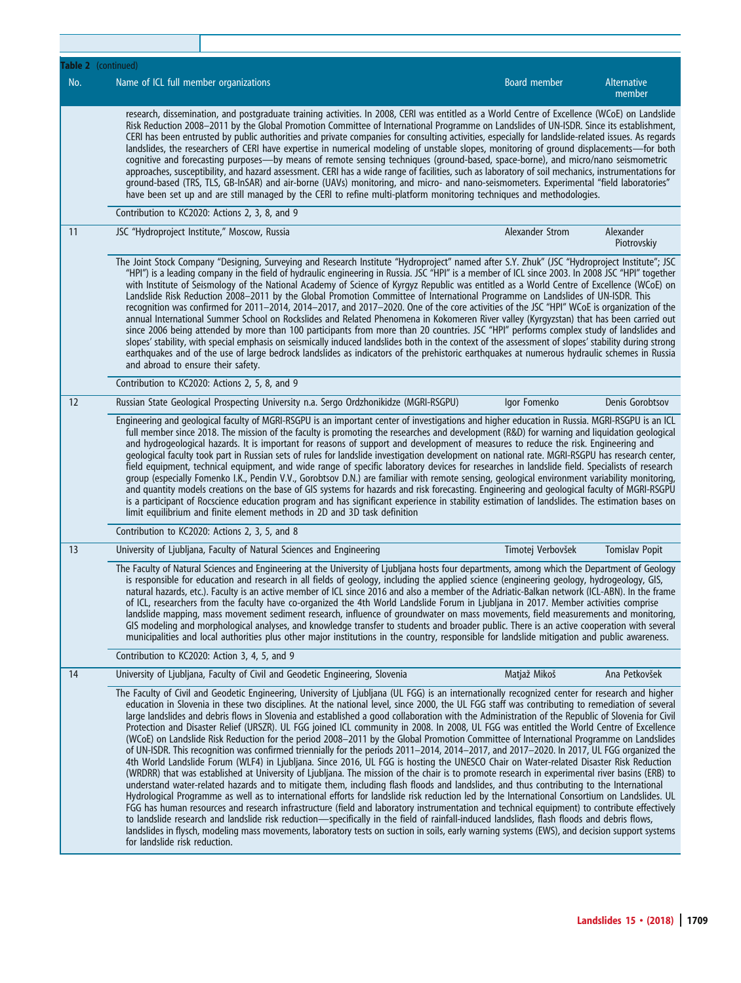|     | Table 2 (continued)                                                          |                                                                                                                                                                                                                                                                                                                                                                                                                                                                                                                                                                                                                                                                                                                                                                                                                                                                                                                                                                                                                                                                                                                                                                                                                                                                                                                                                                                                                                                                                                                                                                                                                                                                                                                                                                                                                                                                                                                                    |                   |                              |
|-----|------------------------------------------------------------------------------|------------------------------------------------------------------------------------------------------------------------------------------------------------------------------------------------------------------------------------------------------------------------------------------------------------------------------------------------------------------------------------------------------------------------------------------------------------------------------------------------------------------------------------------------------------------------------------------------------------------------------------------------------------------------------------------------------------------------------------------------------------------------------------------------------------------------------------------------------------------------------------------------------------------------------------------------------------------------------------------------------------------------------------------------------------------------------------------------------------------------------------------------------------------------------------------------------------------------------------------------------------------------------------------------------------------------------------------------------------------------------------------------------------------------------------------------------------------------------------------------------------------------------------------------------------------------------------------------------------------------------------------------------------------------------------------------------------------------------------------------------------------------------------------------------------------------------------------------------------------------------------------------------------------------------------|-------------------|------------------------------|
| No. | Name of ICL full member organizations                                        |                                                                                                                                                                                                                                                                                                                                                                                                                                                                                                                                                                                                                                                                                                                                                                                                                                                                                                                                                                                                                                                                                                                                                                                                                                                                                                                                                                                                                                                                                                                                                                                                                                                                                                                                                                                                                                                                                                                                    | Board member      | <b>Alternative</b><br>member |
|     |                                                                              | research, dissemination, and postgraduate training activities. In 2008, CERI was entitled as a World Centre of Excellence (WCoE) on Landslide<br>Risk Reduction 2008-2011 by the Global Promotion Committee of International Programme on Landslides of UN-ISDR. Since its establishment,<br>CERI has been entrusted by public authorities and private companies for consulting activities, especially for landslide-related issues. As regards<br>landslides, the researchers of CERI have expertise in numerical modeling of unstable slopes, monitoring of ground displacements-for both<br>cognitive and forecasting purposes—by means of remote sensing techniques (ground-based, space-borne), and micro/nano seismometric<br>approaches, susceptibility, and hazard assessment. CERI has a wide range of facilities, such as laboratory of soil mechanics, instrumentations for<br>ground-based (TRS, TLS, GB-InSAR) and air-borne (UAVs) monitoring, and micro- and nano-seismometers. Experimental "field laboratories"<br>have been set up and are still managed by the CERI to refine multi-platform monitoring techniques and methodologies.                                                                                                                                                                                                                                                                                                                                                                                                                                                                                                                                                                                                                                                                                                                                                                           |                   |                              |
|     | Contribution to KC2020: Actions 2, 3, 8, and 9                               |                                                                                                                                                                                                                                                                                                                                                                                                                                                                                                                                                                                                                                                                                                                                                                                                                                                                                                                                                                                                                                                                                                                                                                                                                                                                                                                                                                                                                                                                                                                                                                                                                                                                                                                                                                                                                                                                                                                                    |                   |                              |
| 11  | JSC "Hydroproject Institute," Moscow, Russia                                 |                                                                                                                                                                                                                                                                                                                                                                                                                                                                                                                                                                                                                                                                                                                                                                                                                                                                                                                                                                                                                                                                                                                                                                                                                                                                                                                                                                                                                                                                                                                                                                                                                                                                                                                                                                                                                                                                                                                                    | Alexander Strom   | Alexander<br>Piotrovskiy     |
|     | and abroad to ensure their safety.                                           | The Joint Stock Company "Designing, Surveying and Research Institute "Hydroproject" named after S.Y. Zhuk" (JSC "Hydroproject Institute"; JSC<br>"HPI") is a leading company in the field of hydraulic engineering in Russia. JSC "HPI" is a member of ICL since 2003. In 2008 JSC "HPI" together<br>with Institute of Seismology of the National Academy of Science of Kyrgyz Republic was entitled as a World Centre of Excellence (WCoE) on<br>Landslide Risk Reduction 2008-2011 by the Global Promotion Committee of International Programme on Landslides of UN-ISDR. This<br>recognition was confirmed for 2011-2014, 2014-2017, and 2017-2020. One of the core activities of the JSC "HPI" WCoE is organization of the<br>annual International Summer School on Rockslides and Related Phenomena in Kokomeren River valley (Kyrgyzstan) that has been carried out<br>since 2006 being attended by more than 100 participants from more than 20 countries. JSC "HPI" performs complex study of landslides and<br>slopes' stability, with special emphasis on seismically induced landslides both in the context of the assessment of slopes' stability during strong<br>earthquakes and of the use of large bedrock landslides as indicators of the prehistoric earthquakes at numerous hydraulic schemes in Russia                                                                                                                                                                                                                                                                                                                                                                                                                                                                                                                                                                                                         |                   |                              |
|     | Contribution to KC2020: Actions 2, 5, 8, and 9                               |                                                                                                                                                                                                                                                                                                                                                                                                                                                                                                                                                                                                                                                                                                                                                                                                                                                                                                                                                                                                                                                                                                                                                                                                                                                                                                                                                                                                                                                                                                                                                                                                                                                                                                                                                                                                                                                                                                                                    |                   |                              |
| 12  |                                                                              | Russian State Geological Prospecting University n.a. Sergo Ordzhonikidze (MGRI-RSGPU)                                                                                                                                                                                                                                                                                                                                                                                                                                                                                                                                                                                                                                                                                                                                                                                                                                                                                                                                                                                                                                                                                                                                                                                                                                                                                                                                                                                                                                                                                                                                                                                                                                                                                                                                                                                                                                              | Igor Fomenko      | Denis Gorobtsov              |
|     |                                                                              | Engineering and geological faculty of MGRI-RSGPU is an important center of investigations and higher education in Russia. MGRI-RSGPU is an ICL<br>full member since 2018. The mission of the faculty is promoting the researches and development (R&D) for warning and liquidation geological<br>and hydrogeological hazards. It is important for reasons of support and development of measures to reduce the risk. Engineering and<br>geological faculty took part in Russian sets of rules for landslide investigation development on national rate. MGRI-RSGPU has research center,<br>field equipment, technical equipment, and wide range of specific laboratory devices for researches in landslide field. Specialists of research<br>group (especially Fomenko I.K., Pendin V.V., Gorobtsov D.N.) are familiar with remote sensing, geological environment variability monitoring,<br>and quantity models creations on the base of GIS systems for hazards and risk forecasting. Engineering and geological faculty of MGRI-RSGPU<br>is a participant of Rocscience education program and has significant experience in stability estimation of landslides. The estimation bases on<br>limit equilibrium and finite element methods in 2D and 3D task definition                                                                                                                                                                                                                                                                                                                                                                                                                                                                                                                                                                                                                                                           |                   |                              |
|     | Contribution to KC2020: Actions 2, 3, 5, and 8                               |                                                                                                                                                                                                                                                                                                                                                                                                                                                                                                                                                                                                                                                                                                                                                                                                                                                                                                                                                                                                                                                                                                                                                                                                                                                                                                                                                                                                                                                                                                                                                                                                                                                                                                                                                                                                                                                                                                                                    |                   |                              |
| 13  | University of Ljubljana, Faculty of Natural Sciences and Engineering         |                                                                                                                                                                                                                                                                                                                                                                                                                                                                                                                                                                                                                                                                                                                                                                                                                                                                                                                                                                                                                                                                                                                                                                                                                                                                                                                                                                                                                                                                                                                                                                                                                                                                                                                                                                                                                                                                                                                                    | Timotej Verbovšek | <b>Tomislav Popit</b>        |
|     |                                                                              | The Faculty of Natural Sciences and Engineering at the University of Ljubljana hosts four departments, among which the Department of Geology<br>is responsible for education and research in all fields of geology, including the applied science (engineering geology, hydrogeology, GIS,<br>natural hazards, etc.). Faculty is an active member of ICL since 2016 and also a member of the Adriatic-Balkan network (ICL-ABN). In the frame<br>of ICL, researchers from the faculty have co-organized the 4th World Landslide Forum in Ljubljana in 2017. Member activities comprise<br>landslide mapping, mass movement sediment research, influence of groundwater on mass movements, field measurements and monitoring,<br>GIS modeling and morphological analyses, and knowledge transfer to students and broader public. There is an active cooperation with several<br>municipalities and local authorities plus other major institutions in the country, responsible for landslide mitigation and public awareness.                                                                                                                                                                                                                                                                                                                                                                                                                                                                                                                                                                                                                                                                                                                                                                                                                                                                                                        |                   |                              |
|     | Contribution to KC2020: Action 3, 4, 5, and 9                                |                                                                                                                                                                                                                                                                                                                                                                                                                                                                                                                                                                                                                                                                                                                                                                                                                                                                                                                                                                                                                                                                                                                                                                                                                                                                                                                                                                                                                                                                                                                                                                                                                                                                                                                                                                                                                                                                                                                                    |                   |                              |
| 14  | University of Ljubljana, Faculty of Civil and Geodetic Engineering, Slovenia |                                                                                                                                                                                                                                                                                                                                                                                                                                                                                                                                                                                                                                                                                                                                                                                                                                                                                                                                                                                                                                                                                                                                                                                                                                                                                                                                                                                                                                                                                                                                                                                                                                                                                                                                                                                                                                                                                                                                    | Matjaž Mikoš      | Ana Petkovšek                |
|     | for landslide risk reduction.                                                | The Faculty of Civil and Geodetic Engineering, University of Ljubljana (UL FGG) is an internationally recognized center for research and higher<br>education in Slovenia in these two disciplines. At the national level, since 2000, the UL FGG staff was contributing to remediation of several<br>large landslides and debris flows in Slovenia and established a good collaboration with the Administration of the Republic of Slovenia for Civil<br>Protection and Disaster Relief (URSZR). UL FGG joined ICL community in 2008. In 2008, UL FGG was entitled the World Centre of Excellence<br>(WCoE) on Landslide Risk Reduction for the period 2008–2011 by the Global Promotion Committee of International Programme on Landslides<br>of UN-ISDR. This recognition was confirmed triennially for the periods 2011-2014, 2014-2017, and 2017-2020. In 2017, UL FGG organized the<br>4th World Landslide Forum (WLF4) in Ljubljana. Since 2016, UL FGG is hosting the UNESCO Chair on Water-related Disaster Risk Reduction<br>(WRDRR) that was established at University of Ljubljana. The mission of the chair is to promote research in experimental river basins (ERB) to<br>understand water-related hazards and to mitigate them, including flash floods and landslides, and thus contributing to the International<br>Hydrological Programme as well as to international efforts for landslide risk reduction led by the International Consortium on Landslides. UL<br>FGG has human resources and research infrastructure (field and laboratory instrumentation and technical equipment) to contribute effectively<br>to landslide research and landslide risk reduction—specifically in the field of rainfall-induced landslides, flash floods and debris flows,<br>landslides in flysch, modeling mass movements, laboratory tests on suction in soils, early warning systems (EWS), and decision support systems |                   |                              |

Π

T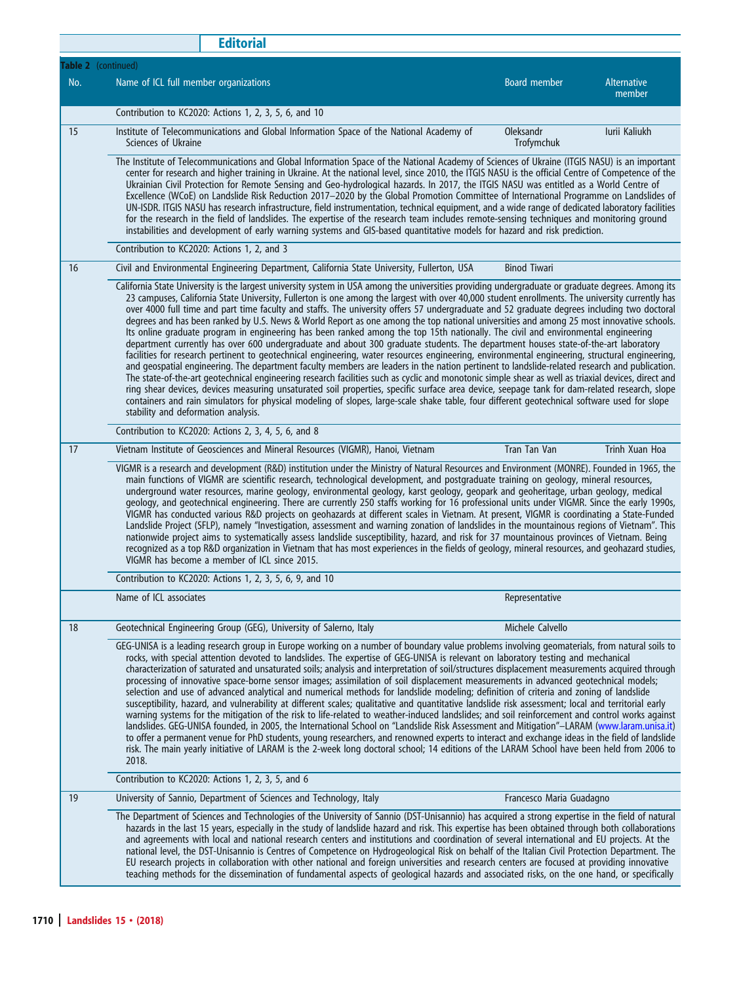|                     | <b>Editorial</b>                                                                                                                                                                                                                                                                                                                                                                                                                                                                                                                                                                                                                                                                                                                                                                                                                                                                                                                                                                                                                                                                                                                                                                                                                                                                                                                                                                                                                                                                                                                                                                                                                                                             |                          |                              |  |  |  |
|---------------------|------------------------------------------------------------------------------------------------------------------------------------------------------------------------------------------------------------------------------------------------------------------------------------------------------------------------------------------------------------------------------------------------------------------------------------------------------------------------------------------------------------------------------------------------------------------------------------------------------------------------------------------------------------------------------------------------------------------------------------------------------------------------------------------------------------------------------------------------------------------------------------------------------------------------------------------------------------------------------------------------------------------------------------------------------------------------------------------------------------------------------------------------------------------------------------------------------------------------------------------------------------------------------------------------------------------------------------------------------------------------------------------------------------------------------------------------------------------------------------------------------------------------------------------------------------------------------------------------------------------------------------------------------------------------------|--------------------------|------------------------------|--|--|--|
| Table 2 (continued) |                                                                                                                                                                                                                                                                                                                                                                                                                                                                                                                                                                                                                                                                                                                                                                                                                                                                                                                                                                                                                                                                                                                                                                                                                                                                                                                                                                                                                                                                                                                                                                                                                                                                              |                          |                              |  |  |  |
| No.                 | Name of ICL full member organizations                                                                                                                                                                                                                                                                                                                                                                                                                                                                                                                                                                                                                                                                                                                                                                                                                                                                                                                                                                                                                                                                                                                                                                                                                                                                                                                                                                                                                                                                                                                                                                                                                                        | Board member             | <b>Alternative</b><br>member |  |  |  |
|                     | Contribution to KC2020: Actions 1, 2, 3, 5, 6, and 10                                                                                                                                                                                                                                                                                                                                                                                                                                                                                                                                                                                                                                                                                                                                                                                                                                                                                                                                                                                                                                                                                                                                                                                                                                                                                                                                                                                                                                                                                                                                                                                                                        |                          |                              |  |  |  |
| 15                  | Institute of Telecommunications and Global Information Space of the National Academy of<br>Sciences of Ukraine                                                                                                                                                                                                                                                                                                                                                                                                                                                                                                                                                                                                                                                                                                                                                                                                                                                                                                                                                                                                                                                                                                                                                                                                                                                                                                                                                                                                                                                                                                                                                               | Oleksandr<br>Trofymchuk  | lurii Kaliukh                |  |  |  |
|                     | The Institute of Telecommunications and Global Information Space of the National Academy of Sciences of Ukraine (ITGIS NASU) is an important<br>center for research and higher training in Ukraine. At the national level, since 2010, the ITGIS NASU is the official Centre of Competence of the<br>Ukrainian Civil Protection for Remote Sensing and Geo-hydrological hazards. In 2017, the ITGIS NASU was entitled as a World Centre of<br>Excellence (WCoE) on Landslide Risk Reduction 2017-2020 by the Global Promotion Committee of International Programme on Landslides of<br>UN-ISDR. ITGIS NASU has research infrastructure, field instrumentation, technical equipment, and a wide range of dedicated laboratory facilities<br>for the research in the field of landslides. The expertise of the research team includes remote-sensing techniques and monitoring ground<br>instabilities and development of early warning systems and GIS-based quantitative models for hazard and risk prediction.                                                                                                                                                                                                                                                                                                                                                                                                                                                                                                                                                                                                                                                              |                          |                              |  |  |  |
|                     | Contribution to KC2020: Actions 1, 2, and 3                                                                                                                                                                                                                                                                                                                                                                                                                                                                                                                                                                                                                                                                                                                                                                                                                                                                                                                                                                                                                                                                                                                                                                                                                                                                                                                                                                                                                                                                                                                                                                                                                                  |                          |                              |  |  |  |
| 16                  | Civil and Environmental Engineering Department, California State University, Fullerton, USA                                                                                                                                                                                                                                                                                                                                                                                                                                                                                                                                                                                                                                                                                                                                                                                                                                                                                                                                                                                                                                                                                                                                                                                                                                                                                                                                                                                                                                                                                                                                                                                  | <b>Binod Tiwari</b>      |                              |  |  |  |
|                     | California State University is the largest university system in USA among the universities providing undergraduate or graduate degrees. Among its<br>23 campuses, California State University, Fullerton is one among the largest with over 40,000 student enrollments. The university currently has<br>over 4000 full time and part time faculty and staffs. The university offers 57 undergraduate and 52 graduate degrees including two doctoral<br>degrees and has been ranked by U.S. News & World Report as one among the top national universities and among 25 most innovative schools.<br>Its online graduate program in engineering has been ranked among the top 15th nationally. The civil and environmental engineering<br>department currently has over 600 undergraduate and about 300 graduate students. The department houses state-of-the-art laboratory<br>facilities for research pertinent to geotechnical engineering, water resources engineering, environmental engineering, structural engineering,<br>and geospatial engineering. The department faculty members are leaders in the nation pertinent to landslide-related research and publication.<br>The state-of-the-art geotechnical engineering research facilities such as cyclic and monotonic simple shear as well as triaxial devices, direct and<br>ring shear devices, devices measuring unsaturated soil properties, specific surface area device, seepage tank for dam-related research, slope<br>containers and rain simulators for physical modeling of slopes, large-scale shake table, four different geotechnical software used for slope<br>stability and deformation analysis. |                          |                              |  |  |  |
|                     | Contribution to KC2020: Actions 2, 3, 4, 5, 6, and 8                                                                                                                                                                                                                                                                                                                                                                                                                                                                                                                                                                                                                                                                                                                                                                                                                                                                                                                                                                                                                                                                                                                                                                                                                                                                                                                                                                                                                                                                                                                                                                                                                         |                          |                              |  |  |  |
| 17                  | Vietnam Institute of Geosciences and Mineral Resources (VIGMR), Hanoi, Vietnam                                                                                                                                                                                                                                                                                                                                                                                                                                                                                                                                                                                                                                                                                                                                                                                                                                                                                                                                                                                                                                                                                                                                                                                                                                                                                                                                                                                                                                                                                                                                                                                               | Tran Tan Van             | Trinh Xuan Hoa               |  |  |  |
|                     | VIGMR is a research and development (R&D) institution under the Ministry of Natural Resources and Environment (MONRE). Founded in 1965, the<br>main functions of VIGMR are scientific research, technological development, and postgraduate training on geology, mineral resources,<br>underground water resources, marine geology, environmental geology, karst geology, geopark and geoheritage, urban geology, medical<br>geology, and geotechnical engineering. There are currently 250 staffs working for 16 professional units under VIGMR. Since the early 1990s,<br>VIGMR has conducted various R&D projects on geohazards at different scales in Vietnam. At present, VIGMR is coordinating a State-Funded<br>Landslide Project (SFLP), namely "Investigation, assessment and warning zonation of landslides in the mountainous regions of Vietnam". This<br>nationwide project aims to systematically assess landslide susceptibility, hazard, and risk for 37 mountainous provinces of Vietnam. Being<br>recognized as a top R&D organization in Vietnam that has most experiences in the fields of geology, mineral resources, and geohazard studies,<br>VIGMR has become a member of ICL since 2015.                                                                                                                                                                                                                                                                                                                                                                                                                                                            |                          |                              |  |  |  |
|                     | Contribution to KC2020: Actions 1, 2, 3, 5, 6, 9, and 10                                                                                                                                                                                                                                                                                                                                                                                                                                                                                                                                                                                                                                                                                                                                                                                                                                                                                                                                                                                                                                                                                                                                                                                                                                                                                                                                                                                                                                                                                                                                                                                                                     |                          |                              |  |  |  |
|                     | Name of ICL associates                                                                                                                                                                                                                                                                                                                                                                                                                                                                                                                                                                                                                                                                                                                                                                                                                                                                                                                                                                                                                                                                                                                                                                                                                                                                                                                                                                                                                                                                                                                                                                                                                                                       | Representative           |                              |  |  |  |
| 18                  | Geotechnical Engineering Group (GEG), University of Salerno, Italy                                                                                                                                                                                                                                                                                                                                                                                                                                                                                                                                                                                                                                                                                                                                                                                                                                                                                                                                                                                                                                                                                                                                                                                                                                                                                                                                                                                                                                                                                                                                                                                                           | Michele Calvello         |                              |  |  |  |
|                     | GEG-UNISA is a leading research group in Europe working on a number of boundary value problems involving geomaterials, from natural soils to<br>rocks, with special attention devoted to landslides. The expertise of GEG-UNISA is relevant on laboratory testing and mechanical<br>characterization of saturated and unsaturated soils; analysis and interpretation of soil/structures displacement measurements acquired through<br>processing of innovative space-borne sensor images; assimilation of soil displacement measurements in advanced geotechnical models;<br>selection and use of advanced analytical and numerical methods for landslide modeling; definition of criteria and zoning of landslide<br>susceptibility, hazard, and vulnerability at different scales; qualitative and quantitative landslide risk assessment; local and territorial early<br>warning systems for the mitigation of the risk to life-related to weather-induced landslides; and soil reinforcement and control works against<br>landslides. GEG-UNISA founded, in 2005, the International School on "Landslide Risk Assessment and Mitigation"-LARAM (www.laram.unisa.it)<br>to offer a permanent venue for PhD students, young researchers, and renowned experts to interact and exchange ideas in the field of landslide<br>risk. The main yearly initiative of LARAM is the 2-week long doctoral school; 14 editions of the LARAM School have been held from 2006 to<br>2018.                                                                                                                                                                                               |                          |                              |  |  |  |
|                     | Contribution to KC2020: Actions 1, 2, 3, 5, and 6                                                                                                                                                                                                                                                                                                                                                                                                                                                                                                                                                                                                                                                                                                                                                                                                                                                                                                                                                                                                                                                                                                                                                                                                                                                                                                                                                                                                                                                                                                                                                                                                                            |                          |                              |  |  |  |
| 19                  | University of Sannio, Department of Sciences and Technology, Italy                                                                                                                                                                                                                                                                                                                                                                                                                                                                                                                                                                                                                                                                                                                                                                                                                                                                                                                                                                                                                                                                                                                                                                                                                                                                                                                                                                                                                                                                                                                                                                                                           | Francesco Maria Guadagno |                              |  |  |  |
|                     | The Department of Sciences and Technologies of the University of Sannio (DST-Unisannio) has acquired a strong expertise in the field of natural<br>hazards in the last 15 years, especially in the study of landslide hazard and risk. This expertise has been obtained through both collaborations<br>and agreements with local and national research centers and institutions and coordination of several international and EU projects. At the<br>national level, the DST-Unisannio is Centres of Competence on Hydrogeological Risk on behalf of the Italian Civil Protection Department. The<br>EU research projects in collaboration with other national and foreign universities and research centers are focused at providing innovative<br>teaching methods for the dissemination of fundamental aspects of geological hazards and associated risks, on the one hand, or specifically                                                                                                                                                                                                                                                                                                                                                                                                                                                                                                                                                                                                                                                                                                                                                                               |                          |                              |  |  |  |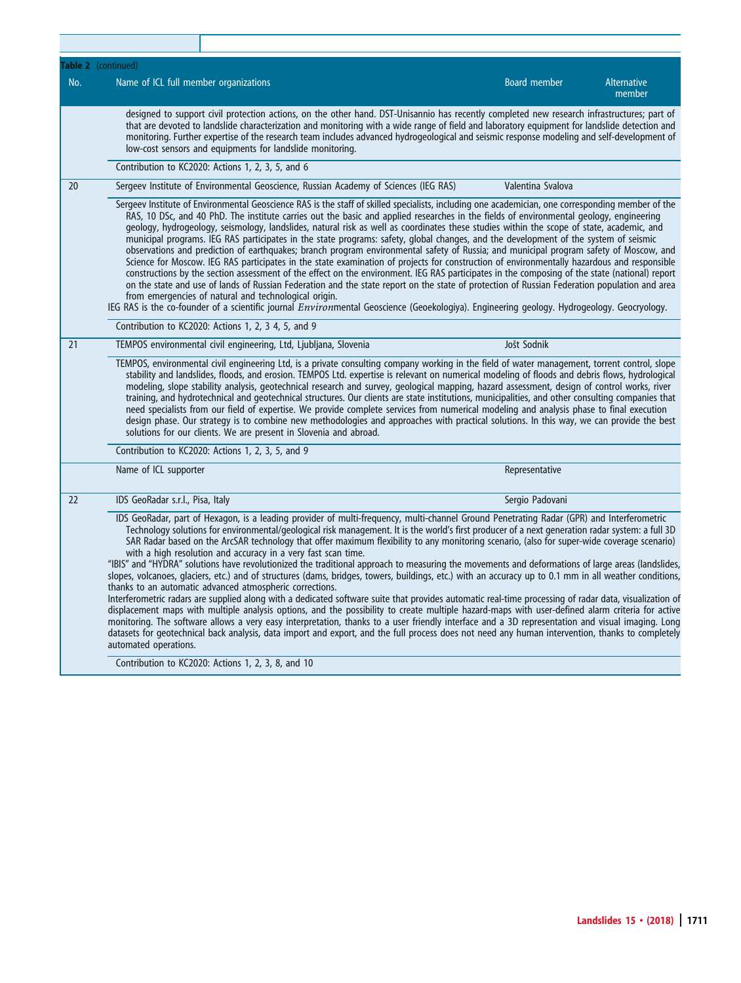|     | <b>Table 2</b> (continued)                                                                                                                                                                                                                                                                                                                                                                                                                                                                                                                                                                                                                                                                                                                                                                                                                                                                                                                                                                                                                                                                                                                                                                                                                                                                                                                                                                                                                                                                                                              |                     |                              |
|-----|-----------------------------------------------------------------------------------------------------------------------------------------------------------------------------------------------------------------------------------------------------------------------------------------------------------------------------------------------------------------------------------------------------------------------------------------------------------------------------------------------------------------------------------------------------------------------------------------------------------------------------------------------------------------------------------------------------------------------------------------------------------------------------------------------------------------------------------------------------------------------------------------------------------------------------------------------------------------------------------------------------------------------------------------------------------------------------------------------------------------------------------------------------------------------------------------------------------------------------------------------------------------------------------------------------------------------------------------------------------------------------------------------------------------------------------------------------------------------------------------------------------------------------------------|---------------------|------------------------------|
| No. | Name of ICL full member organizations                                                                                                                                                                                                                                                                                                                                                                                                                                                                                                                                                                                                                                                                                                                                                                                                                                                                                                                                                                                                                                                                                                                                                                                                                                                                                                                                                                                                                                                                                                   | <b>Board member</b> | <b>Alternative</b><br>member |
|     | designed to support civil protection actions, on the other hand. DST-Unisannio has recently completed new research infrastructures; part of<br>that are devoted to landslide characterization and monitoring with a wide range of field and laboratory equipment for landslide detection and<br>monitoring. Further expertise of the research team includes advanced hydrogeological and seismic response modeling and self-development of<br>low-cost sensors and equipments for landslide monitoring.                                                                                                                                                                                                                                                                                                                                                                                                                                                                                                                                                                                                                                                                                                                                                                                                                                                                                                                                                                                                                                 |                     |                              |
|     | Contribution to KC2020: Actions 1, 2, 3, 5, and 6                                                                                                                                                                                                                                                                                                                                                                                                                                                                                                                                                                                                                                                                                                                                                                                                                                                                                                                                                                                                                                                                                                                                                                                                                                                                                                                                                                                                                                                                                       |                     |                              |
| 20  | Sergeev Institute of Environmental Geoscience, Russian Academy of Sciences (IEG RAS)                                                                                                                                                                                                                                                                                                                                                                                                                                                                                                                                                                                                                                                                                                                                                                                                                                                                                                                                                                                                                                                                                                                                                                                                                                                                                                                                                                                                                                                    | Valentina Svalova   |                              |
|     | Sergeev Institute of Environmental Geoscience RAS is the staff of skilled specialists, including one academician, one corresponding member of the<br>RAS, 10 DSc, and 40 PhD. The institute carries out the basic and applied researches in the fields of environmental geology, engineering<br>geology, hydrogeology, seismology, landslides, natural risk as well as coordinates these studies within the scope of state, academic, and<br>municipal programs. IEG RAS participates in the state programs: safety, global changes, and the development of the system of seismic<br>observations and prediction of earthquakes; branch program environmental safety of Russia; and municipal program safety of Moscow, and<br>Science for Moscow. IEG RAS participates in the state examination of projects for construction of environmentally hazardous and responsible<br>constructions by the section assessment of the effect on the environment. IEG RAS participates in the composing of the state (national) report<br>on the state and use of lands of Russian Federation and the state report on the state of protection of Russian Federation population and area<br>from emergencies of natural and technological origin.<br>IEG RAS is the co-founder of a scientific journal <i>Environ</i> mental Geoscience (Geoekologiya). Engineering geology. Hydrogeology. Geocryology.                                                                                                                                            |                     |                              |
|     | Contribution to KC2020: Actions 1, 2, 3 4, 5, and 9                                                                                                                                                                                                                                                                                                                                                                                                                                                                                                                                                                                                                                                                                                                                                                                                                                                                                                                                                                                                                                                                                                                                                                                                                                                                                                                                                                                                                                                                                     |                     |                              |
| 21  | TEMPOS environmental civil engineering, Ltd, Ljubljana, Slovenia                                                                                                                                                                                                                                                                                                                                                                                                                                                                                                                                                                                                                                                                                                                                                                                                                                                                                                                                                                                                                                                                                                                                                                                                                                                                                                                                                                                                                                                                        | Jošt Sodnik         |                              |
|     | TEMPOS, environmental civil engineering Ltd, is a private consulting company working in the field of water management, torrent control, slope<br>stability and landslides, floods, and erosion. TEMPOS Ltd. expertise is relevant on numerical modeling of floods and debris flows, hydrological<br>modeling, slope stability analysis, geotechnical research and survey, geological mapping, hazard assessment, design of control works, river<br>training, and hydrotechnical and geotechnical structures. Our clients are state institutions, municipalities, and other consulting companies that<br>need specialists from our field of expertise. We provide complete services from numerical modeling and analysis phase to final execution<br>design phase. Our strategy is to combine new methodologies and approaches with practical solutions. In this way, we can provide the best<br>solutions for our clients. We are present in Slovenia and abroad.                                                                                                                                                                                                                                                                                                                                                                                                                                                                                                                                                                       |                     |                              |
|     | Contribution to KC2020: Actions 1, 2, 3, 5, and 9                                                                                                                                                                                                                                                                                                                                                                                                                                                                                                                                                                                                                                                                                                                                                                                                                                                                                                                                                                                                                                                                                                                                                                                                                                                                                                                                                                                                                                                                                       |                     |                              |
|     | Name of ICL supporter                                                                                                                                                                                                                                                                                                                                                                                                                                                                                                                                                                                                                                                                                                                                                                                                                                                                                                                                                                                                                                                                                                                                                                                                                                                                                                                                                                                                                                                                                                                   | Representative      |                              |
| 22  | IDS GeoRadar s.r.l., Pisa, Italy                                                                                                                                                                                                                                                                                                                                                                                                                                                                                                                                                                                                                                                                                                                                                                                                                                                                                                                                                                                                                                                                                                                                                                                                                                                                                                                                                                                                                                                                                                        | Sergio Padovani     |                              |
|     | IDS GeoRadar, part of Hexagon, is a leading provider of multi-frequency, multi-channel Ground Penetrating Radar (GPR) and Interferometric<br>Technology solutions for environmental/geological risk management. It is the world's first producer of a next generation radar system: a full 3D<br>SAR Radar based on the ArcSAR technology that offer maximum flexibility to any monitoring scenario, (also for super-wide coverage scenario)<br>with a high resolution and accuracy in a very fast scan time.<br>"IBIS" and "HYDRA" solutions have revolutionized the traditional approach to measuring the movements and deformations of large areas (landslides,<br>slopes, volcanoes, glaciers, etc.) and of structures (dams, bridges, towers, buildings, etc.) with an accuracy up to 0.1 mm in all weather conditions,<br>thanks to an automatic advanced atmospheric corrections.<br>Interferometric radars are supplied along with a dedicated software suite that provides automatic real-time processing of radar data, visualization of<br>displacement maps with multiple analysis options, and the possibility to create multiple hazard-maps with user-defined alarm criteria for active<br>monitoring. The software allows a very easy interpretation, thanks to a user friendly interface and a 3D representation and visual imaging. Long<br>datasets for geotechnical back analysis, data import and export, and the full process does not need any human intervention, thanks to completely<br>automated operations. |                     |                              |
|     | Contribution to KC2020: Actions 1, 2, 3, 8, and 10                                                                                                                                                                                                                                                                                                                                                                                                                                                                                                                                                                                                                                                                                                                                                                                                                                                                                                                                                                                                                                                                                                                                                                                                                                                                                                                                                                                                                                                                                      |                     |                              |

T